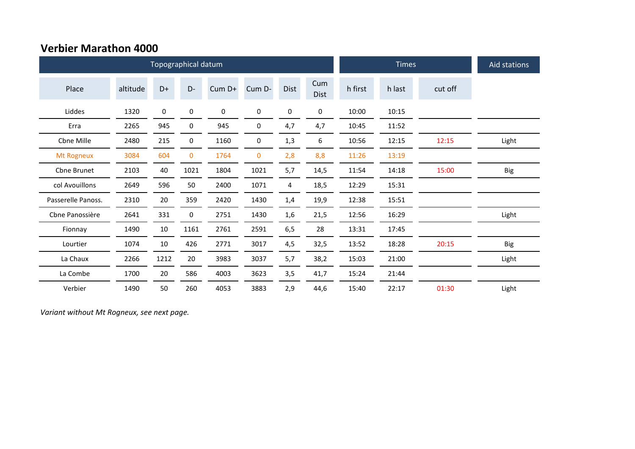## **Verbier Marathon 4000**

|                    |          | Topographical datum |             |        | <b>Times</b> | Aid stations |                    |         |        |         |            |
|--------------------|----------|---------------------|-------------|--------|--------------|--------------|--------------------|---------|--------|---------|------------|
| Place              | altitude | $D+$                | D-          | Cum D+ | Cum D-       | <b>Dist</b>  | Cum<br><b>Dist</b> | h first | h last | cut off |            |
| Liddes             | 1320     | $\pmb{0}$           | 0           | 0      | 0            | 0            | 0                  | 10:00   | 10:15  |         |            |
| Erra               | 2265     | 945                 | 0           | 945    | 0            | 4,7          | 4,7                | 10:45   | 11:52  |         |            |
| Cbne Mille         | 2480     | 215                 | 0           | 1160   | 0            | 1,3          | 6                  | 10:56   | 12:15  | 12:15   | Light      |
| Mt Rogneux         | 3084     | 604                 | $\mathbf 0$ | 1764   | 0            | 2,8          | 8,8                | 11:26   | 13:19  |         |            |
| Chne Brunet        | 2103     | 40                  | 1021        | 1804   | 1021         | 5,7          | 14,5               | 11:54   | 14:18  | 15:00   | Big        |
| col Avouillons     | 2649     | 596                 | 50          | 2400   | 1071         | 4            | 18,5               | 12:29   | 15:31  |         |            |
| Passerelle Panoss. | 2310     | 20                  | 359         | 2420   | 1430         | 1,4          | 19,9               | 12:38   | 15:51  |         |            |
| Cbne Panossière    | 2641     | 331                 | 0           | 2751   | 1430         | 1,6          | 21,5               | 12:56   | 16:29  |         | Light      |
| Fionnay            | 1490     | 10                  | 1161        | 2761   | 2591         | 6,5          | 28                 | 13:31   | 17:45  |         |            |
| Lourtier           | 1074     | 10                  | 426         | 2771   | 3017         | 4,5          | 32,5               | 13:52   | 18:28  | 20:15   | <b>Big</b> |
| La Chaux           | 2266     | 1212                | 20          | 3983   | 3037         | 5,7          | 38,2               | 15:03   | 21:00  |         | Light      |
| La Combe           | 1700     | 20                  | 586         | 4003   | 3623         | 3,5          | 41,7               | 15:24   | 21:44  |         |            |
| Verbier            | 1490     | 50                  | 260         | 4053   | 3883         | 2,9          | 44,6               | 15:40   | 22:17  | 01:30   | Light      |

*Variant without Mt Rogneux, see next page.*